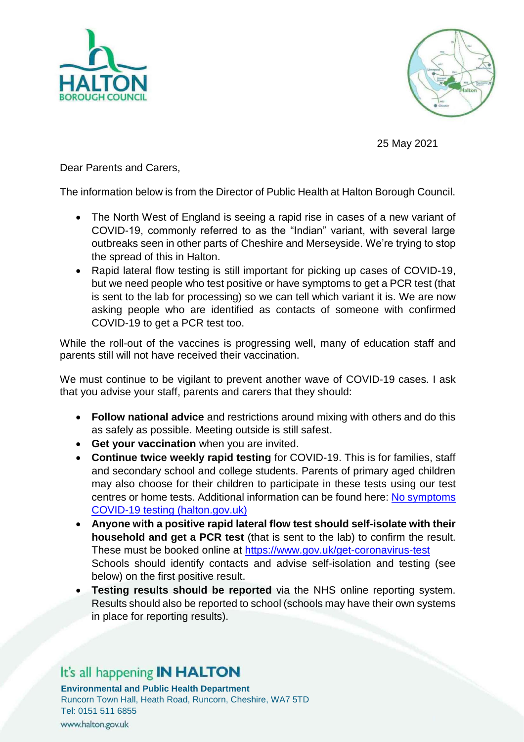



25 May 2021

Dear Parents and Carers,

The information below is from the Director of Public Health at Halton Borough Council.

- The North West of England is seeing a rapid rise in cases of a new variant of COVID-19, commonly referred to as the "Indian" variant, with several large outbreaks seen in other parts of Cheshire and Merseyside. We're trying to stop the spread of this in Halton.
- Rapid lateral flow testing is still important for picking up cases of COVID-19, but we need people who test positive or have symptoms to get a PCR test (that is sent to the lab for processing) so we can tell which variant it is. We are now asking people who are identified as contacts of someone with confirmed COVID-19 to get a PCR test too.

While the roll-out of the vaccines is progressing well, many of education staff and parents still will not have received their vaccination.

We must continue to be vigilant to prevent another wave of COVID-19 cases. I ask that you advise your staff, parents and carers that they should:

- **Follow national advice** and restrictions around mixing with others and do this as safely as possible. Meeting outside is still safest.
- **Get your vaccination** when you are invited.
- **Continue twice weekly rapid testing** for COVID-19. This is for families, staff and secondary school and college students. Parents of primary aged children may also choose for their children to participate in these tests using our test centres or home tests. Additional information can be found here: [No symptoms](https://www3.halton.gov.uk/Pages/health/smart.aspx)  [COVID-19 testing \(halton.gov.uk\)](https://www3.halton.gov.uk/Pages/health/smart.aspx)
- **Anyone with a positive rapid lateral flow test should self-isolate with their household and get a PCR test** (that is sent to the lab) to confirm the result. These must be booked online at<https://www.gov.uk/get-coronavirus-test> Schools should identify contacts and advise self-isolation and testing (see below) on the first positive result.
- **Testing results should be reported** via the NHS online reporting system. Results should also be reported to school (schools may have their own systems in place for reporting results).

## It's all happening **IN HALTON**

**Environmental and Public Health Department** Runcorn Town Hall, Heath Road, Runcorn, Cheshire, WA7 5TD Tel: 0151 511 6855 www.halton.gov.uk